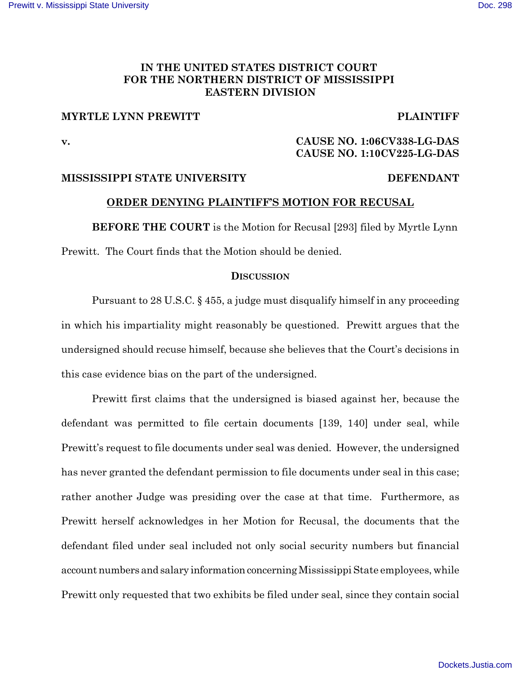### IN THE UNITED STATES DISTRICT COURT FOR THE NORTHERN DISTRICT OF MISSISSIPPI **EASTERN DIVISION**

## **MYRTLE LYNN PREWITT**

**PLAINTIFF** 

 $\mathbf{v}$ .

## CAUSE NO. 1:06CV338-LG-DAS CAUSE NO. 1:10CV225-LG-DAS

### MISSISSIPPI STATE UNIVERSITY

#### **DEFENDANT**

### ORDER DENYING PLAINTIFF'S MOTION FOR RECUSAL

**BEFORE THE COURT** is the Motion for Recusal [293] filed by Myrtle Lynn Prewitt. The Court finds that the Motion should be denied.

#### **DISCUSSION**

Pursuant to 28 U.S.C. § 455, a judge must disqualify himself in any proceeding in which his impartiality might reasonably be questioned. Prewitt argues that the undersigned should recuse himself, because she believes that the Court's decisions in this case evidence bias on the part of the undersigned.

Prewitt first claims that the undersigned is biased against her, because the defendant was permitted to file certain documents [139, 140] under seal, while Prewitt's request to file documents under seal was denied. However, the undersigned has never granted the defendant permission to file documents under seal in this case; rather another Judge was presiding over the case at that time. Furthermore, as Prewitt herself acknowledges in her Motion for Recusal, the documents that the defendant filed under seal included not only social security numbers but financial account numbers and salary information concerning Mississippi State employees, while Prewitt only requested that two exhibits be filed under seal, since they contain social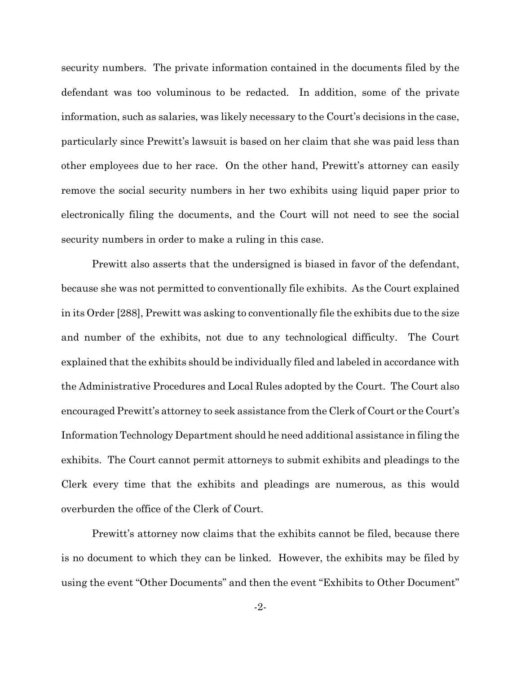security numbers. The private information contained in the documents filed by the defendant was too voluminous to be redacted. In addition, some of the private information, such as salaries, was likely necessary to the Court's decisions in the case, particularly since Prewitt's lawsuit is based on her claim that she was paid less than other employees due to her race. On the other hand, Prewitt's attorney can easily remove the social security numbers in her two exhibits using liquid paper prior to electronically filing the documents, and the Court will not need to see the social security numbers in order to make a ruling in this case.

Prewitt also asserts that the undersigned is biased in favor of the defendant, because she was not permitted to conventionally file exhibits. As the Court explained in its Order [288], Prewitt was asking to conventionally file the exhibits due to the size and number of the exhibits, not due to any technological difficulty. The Court explained that the exhibits should be individually filed and labeled in accordance with the Administrative Procedures and Local Rules adopted by the Court. The Court also encouraged Prewitt's attorney to seek assistance from the Clerk of Court or the Court's Information Technology Department should he need additional assistance in filing the exhibits. The Court cannot permit attorneys to submit exhibits and pleadings to the Clerk every time that the exhibits and pleadings are numerous, as this would overburden the office of the Clerk of Court.

Prewitt's attorney now claims that the exhibits cannot be filed, because there is no document to which they can be linked. However, the exhibits may be filed by using the event "Other Documents" and then the event "Exhibits to Other Document"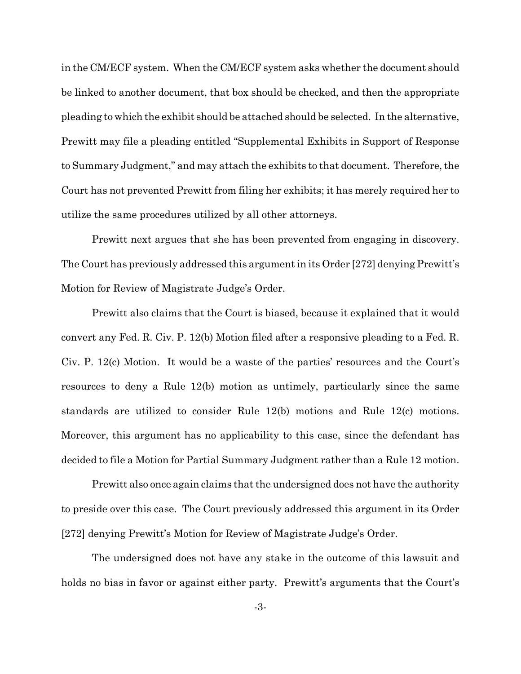in the CM/ECF system. When the CM/ECF system asks whether the document should be linked to another document, that box should be checked, and then the appropriate pleading to which the exhibit should be attached should be selected. In the alternative, Prewitt may file a pleading entitled "Supplemental Exhibits in Support of Response to Summary Judgment," and may attach the exhibits to that document. Therefore, the Court has not prevented Prewitt from filing her exhibits; it has merely required her to utilize the same procedures utilized by all other attorneys.

Prewitt next argues that she has been prevented from engaging in discovery. The Court has previously addressed this argument in its Order [272] denying Prewitt's Motion for Review of Magistrate Judge's Order.

Prewitt also claims that the Court is biased, because it explained that it would convert any Fed. R. Civ. P. 12(b) Motion filed after a responsive pleading to a Fed. R. Civ. P. 12(c) Motion. It would be a waste of the parties' resources and the Court's resources to deny a Rule 12(b) motion as untimely, particularly since the same standards are utilized to consider Rule 12(b) motions and Rule 12(c) motions. Moreover, this argument has no applicability to this case, since the defendant has decided to file a Motion for Partial Summary Judgment rather than a Rule 12 motion.

Prewitt also once again claims that the undersigned does not have the authority to preside over this case. The Court previously addressed this argument in its Order [272] denying Prewitt's Motion for Review of Magistrate Judge's Order.

The undersigned does not have any stake in the outcome of this lawsuit and holds no bias in favor or against either party. Prewitt's arguments that the Court's